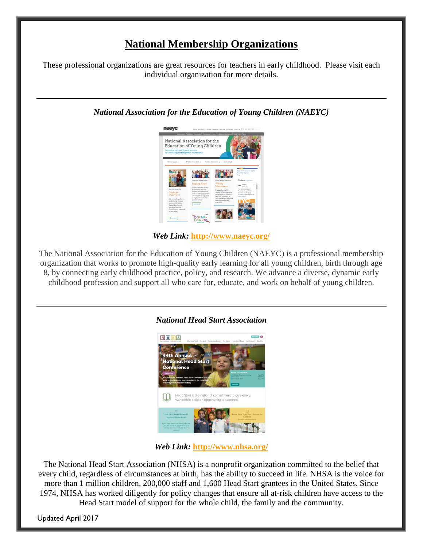## **National Membership Organizations**

These professional organizations are great resources for teachers in early childhood. Please visit each individual organization for more details.

*National Association for the Education of Young Children (NAEYC)*



*Web Link:* **<http://www.naeyc.org/>**

The National Association for the Education of Young Children (NAEYC) is a professional membership organization that works to promote high-quality early learning for all young children, birth through age 8, by connecting early childhood practice, policy, and research. We advance a diverse, dynamic early childhood profession and support all who care for, educate, and work on behalf of young children.



## *National Head Start Association*

*Web Link:* **<http://www.nhsa.org/>**

The National Head Start Association (NHSA) is a nonprofit organization committed to the belief that every child, regardless of circumstances at birth, has the ability to succeed in life. NHSA is the voice for more than 1 million children, 200,000 staff and 1,600 Head Start grantees in the United States. Since 1974, NHSA has worked diligently for policy changes that ensure all at-risk children have access to the Head Start model of support for the whole child, the family and the community.

Updated April 2017